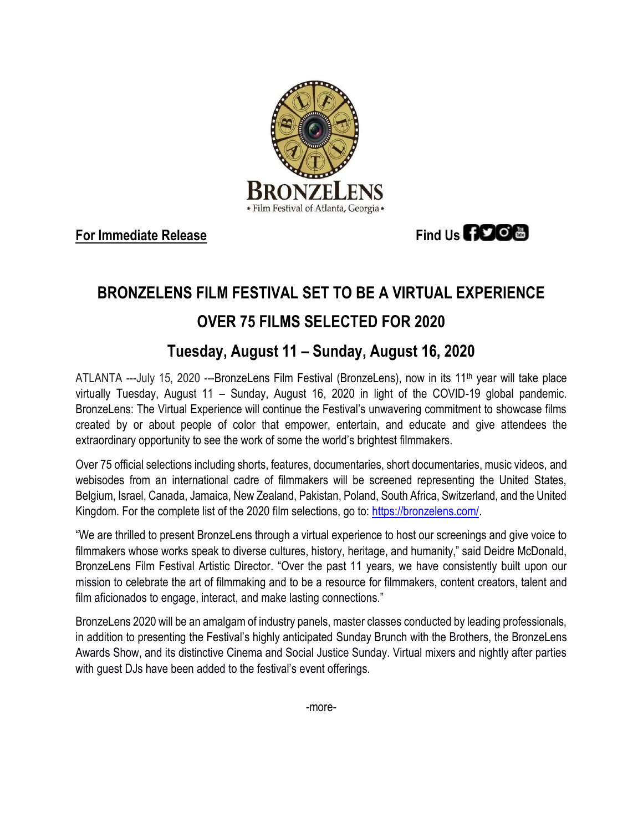

**For Immediate Release Find Us <b>FIDO** 

# **BRONZELENS FILM FESTIVAL SET TO BE A VIRTUAL EXPERIENCE**

## **OVER 75 FILMS SELECTED FOR 2020**

### **Tuesday, August 11 – Sunday, August 16, 2020**

ATLANTA ---July 15, 2020 ---BronzeLens Film Festival (BronzeLens), now in its 11th year will take place virtually Tuesday, August 11 – Sunday, August 16, 2020 in light of the COVID-19 global pandemic. BronzeLens: The Virtual Experience will continue the Festival's unwavering commitment to showcase films created by or about people of color that empower, entertain, and educate and give attendees the extraordinary opportunity to see the work of some the world's brightest filmmakers.

Over 75 official selections including shorts, features, documentaries, short documentaries, music videos, and webisodes from an international cadre of filmmakers will be screened representing the United States, Belgium, Israel, Canada, Jamaica, New Zealand, Pakistan, Poland, South Africa, Switzerland, and the United Kingdom. For the complete list of the 2020 film selections, go to: [https://bronzelens.com/.](https://bronzelens.com/)

"We are thrilled to present BronzeLens through a virtual experience to host our screenings and give voice to filmmakers whose works speak to diverse cultures, history, heritage, and humanity," said Deidre McDonald, BronzeLens Film Festival Artistic Director. "Over the past 11 years, we have consistently built upon our mission to celebrate the art of filmmaking and to be a resource for filmmakers, content creators, talent and film aficionados to engage, interact, and make lasting connections."

BronzeLens 2020 will be an amalgam of industry panels, master classes conducted by leading professionals, in addition to presenting the Festival's highly anticipated Sunday Brunch with the Brothers, the BronzeLens Awards Show, and its distinctive Cinema and Social Justice Sunday. Virtual mixers and nightly after parties with guest DJs have been added to the festival's event offerings.

-more-